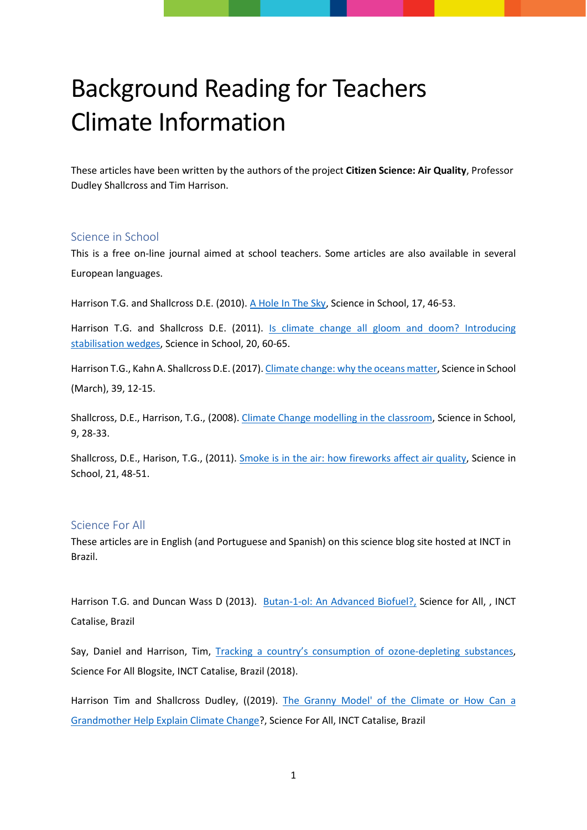# Background Reading for Teachers Climate Information

These articles have been written by the authors of the project **Citizen Science: Air Quality**, Professor Dudley Shallcross and Tim Harrison.

#### Science in School

This is a free on-line journal aimed at school teachers. Some articles are also available in several European languages.

Harrison T.G. and Shallcross D.E. (2010). [A Hole In The Sky,](https://www.scienceinschool.org/2010/issue17/ozone) Science in School, 17, 46-53.

Harrison T.G. and Shallcross D.E. (2011). Is [climate change all gloom and doom? Introducing](https://www.scienceinschool.org/2011/issue20/wedges)  [stabilisation wedges,](https://www.scienceinschool.org/2011/issue20/wedges) Science in School, 20, 60-65.

Harrison T.G., Kahn A. Shallcross D.E. (2017)[. Climate change: why the oceans matter,](http://www.scienceinschool.org/content/climate-change-why-oceans-matter) Science in School (March), 39, 12-15.

Shallcross, D.E., Harrison, T.G., (2008). [Climate Change modelling in the classroom,](https://www.scienceinschool.org/2008/issue9/climate) Science in School, 9, 28-33.

Shallcross, D.E., Harison, T.G., (2011). [Smoke is in the air: how fireworks affect air quality,](https://www.scienceinschool.org/2011/issue21/fireworks) Science in School, 21, 48-51.

## Science For All

These articles are in English (and Portuguese and Spanish) on this science blog site hosted at INCT in Brazil.

Harrison T.G. and Duncan Wass D (2013). [Butan-1-ol: An Advanced Biofuel?,](http://www.ccell11.com/2013/06/t71-butan-1-ol-advanced-biofuel-by-tim.html#ING) Science for All, , INCT Catalise, Brazil

Say, Daniel and Harrison, Tim, [Tracking a country's consumption of ozone-depleting substances,](http://www.ccell11.com/2018/07/t121.html) Science For All Blogsite, INCT Catalise, Brazil (2018).

Harrison Tim and Shallcross Dudley, ((2019). The Granny Model' of the Climate or How Can a [Grandmother Help Explain Climate Change?](http://www.ccell11.com/2019/01/t129.html), Science For All, INCT Catalise, Brazil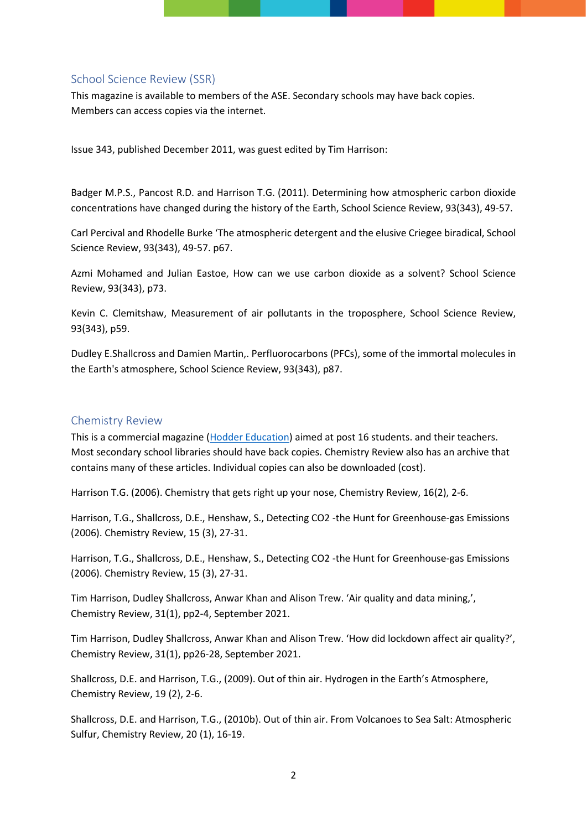#### School Science Review (SSR)

This magazine is available to members of the ASE. Secondary schools may have back copies. Members can access copies via the internet.

Issue 343, published December 2011, was guest edited by Tim Harrison:

Badger M.P.S., Pancost R.D. and Harrison T.G. (2011). Determining how atmospheric carbon dioxide concentrations have changed during the history of the Earth, School Science Review, 93(343), 49-57.

Carl Percival and Rhodelle Burke 'The atmospheric detergent and the elusive Criegee biradical, School Science Review, 93(343), 49-57. p67.

Azmi Mohamed and Julian Eastoe, How can we use carbon dioxide as a solvent? School Science Review, 93(343), p73.

Kevin C. Clemitshaw, Measurement of air pollutants in the troposphere, School Science Review, 93(343), p59.

Dudley E.Shallcross and Damien Martin,. Perfluorocarbons (PFCs), some of the immortal molecules in the Earth's atmosphere, School Science Review, 93(343), p87.

## Chemistry Review

This is a commercial magazine [\(Hodder Education\)](https://www.hoddereducation.co.uk/chemistryreview) aimed at post 16 students. and their teachers. Most secondary school libraries should have back copies. Chemistry Review also has an archive that contains many of these articles. Individual copies can also be downloaded (cost).

Harrison T.G. (2006). Chemistry that gets right up your nose, Chemistry Review, 16(2), 2-6.

Harrison, T.G., Shallcross, D.E., Henshaw, S., Detecting CO2 -the Hunt for Greenhouse-gas Emissions (2006). Chemistry Review, 15 (3), 27-31.

Harrison, T.G., Shallcross, D.E., Henshaw, S., Detecting CO2 -the Hunt for Greenhouse-gas Emissions (2006). Chemistry Review, 15 (3), 27-31.

Tim Harrison, Dudley Shallcross, Anwar Khan and Alison Trew. 'Air quality and data mining,', Chemistry Review, 31(1), pp2-4, September 2021.

Tim Harrison, Dudley Shallcross, Anwar Khan and Alison Trew. 'How did lockdown affect air quality?', Chemistry Review, 31(1), pp26-28, September 2021.

Shallcross, D.E. and Harrison, T.G., (2009). Out of thin air. Hydrogen in the Earth's Atmosphere, Chemistry Review, 19 (2), 2-6.

Shallcross, D.E. and Harrison, T.G., (2010b). Out of thin air. From Volcanoes to Sea Salt: Atmospheric Sulfur, Chemistry Review, 20 (1), 16-19.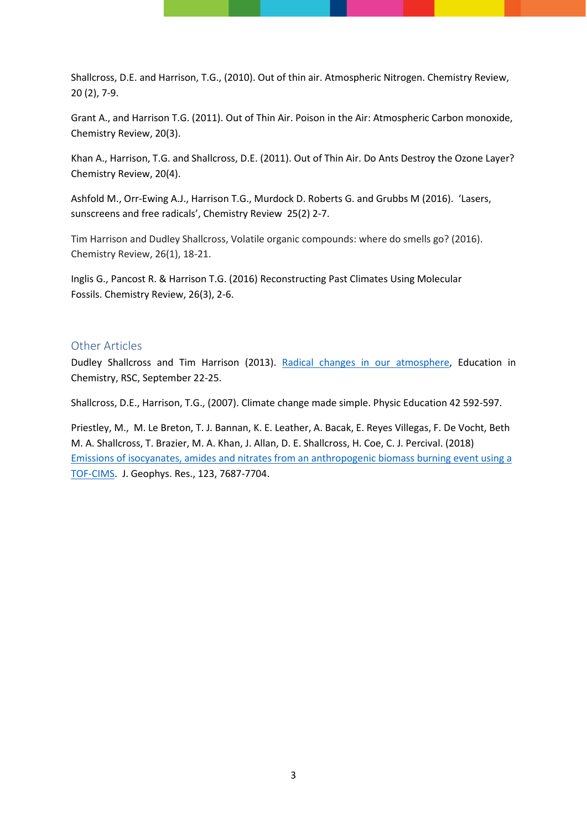Shallcross, D.E. and Harrison, T.G., (2010). Out of thin air. Atmospheric Nitrogen. Chemistry Review, 20 (2), 7-9.

Grant A., and Harrison T.G. (2011). Out of Thin Air. Poison in the Air: Atmospheric Carbon monoxide, Chemistry Review, 20(3).

Khan A., Harrison, T.G. and Shallcross, D.E. (2011). Out of Thin Air. Do Ants Destroy the Ozone Layer? Chemistry Review, 20(4).

Ashfold M., Orr-Ewing A.J., Harrison T.G., Murdock D. Roberts G. and Grubbs M (2016). 'Lasers, sunscreens and free radicals', [Chemistry Review](https://www.york.ac.uk/chemistry/schools/chemrev/) 25(2) 2-7.

Tim Harrison and Dudley Shallcross, Volatile organic compounds: where do smells go? (2016). Chemistry Review, 26(1), 18-21.

Inglis G., Pancost R. & Harrison T.G. (2016) Reconstructing Past Climates Using Molecular Fossils. Chemistry Review, 26(3), 2-6.

#### Other Articles

Dudley Shallcross and Tim Harrison (2013). [Radical changes in our atmosphere,](https://www.rsc.org/images/EIC0513-criegee-biradical-atmosphere-free-radical_tcm18-234705.pdf) Education in Chemistry, RSC, September 22-25.

Shallcross, D.E., Harrison, T.G., (2007). Climate change made simple. Physic Education 42 592-597.

Priestley, M., M. Le Breton, T. J. Bannan, K. E. Leather, A. Bacak, E. Reyes Villegas, F. De Vocht, Beth M. A. Shallcross, T. Brazier, M. A. Khan, J. Allan, D. E. Shallcross, H. Coe, C. J. Percival. (2018) [Emissions of isocyanates, amides and nitrates from an anthropogenic biomass burning event using a](https://agupubs.onlinelibrary.wiley.com/doi/full/10.1002/2017JD027316)  [TOF-CIMS.](https://agupubs.onlinelibrary.wiley.com/doi/full/10.1002/2017JD027316) J. Geophys. Res., 123, 7687-7704.